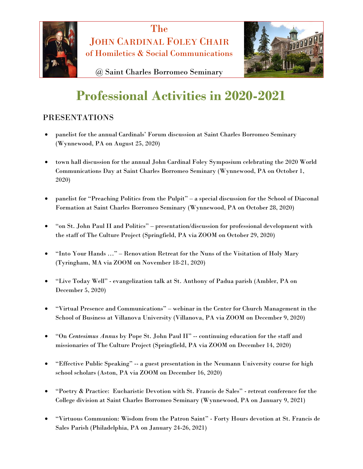



@ Saint Charles Borromeo Seminary

## **Professional Activities in 2020-2021**

## PRESENTATIONS

- panelist for the annual Cardinals' Forum discussion at Saint Charles Borromeo Seminary (Wynnewood, PA on August 25, 2020)
- town hall discussion for the annual John Cardinal Foley Symposium celebrating the 2020 World Communications Day at Saint Charles Borromeo Seminary (Wynnewood, PA on October 1, 2020)
- panelist for "Preaching Politics from the Pulpit" a special discussion for the School of Diaconal Formation at Saint Charles Borromeo Seminary (Wynnewood, PA on October 28, 2020)
- "on St. John Paul II and Politics" presentation/discussion for professional development with the staff of The Culture Project (Springfield, PA via ZOOM on October 29, 2020)
- "Into Your Hands …" Renovation Retreat for the Nuns of the Visitation of Holy Mary (Tyringham, MA via ZOOM on November 18-21, 2020)
- "Live Today Well" evangelization talk at St. Anthony of Padua parish (Ambler, PA on December 5, 2020)
- "Virtual Presence and Communications" webinar in the Center for Church Management in the School of Business at Villanova University (Villanova, PA via ZOOM on December 9, 2020)
- "On *Centesimus Annus* by Pope St. John Paul II" -- continuing education for the staff and missionaries of The Culture Project (Springfield, PA via ZOOM on December 14, 2020)
- "Effective Public Speaking" -- a guest presentation in the Neumann University course for high school scholars (Aston, PA via ZOOM on December 16, 2020)
- "Poetry & Practice: Eucharistic Devotion with St. Francis de Sales" retreat conference for the College division at Saint Charles Borromeo Seminary (Wynnewood, PA on January 9, 2021)
- "Virtuous Communion: Wisdom from the Patron Saint" Forty Hours devotion at St. Francis de Sales Parish (Philadelphia, PA on January 24-26, 2021)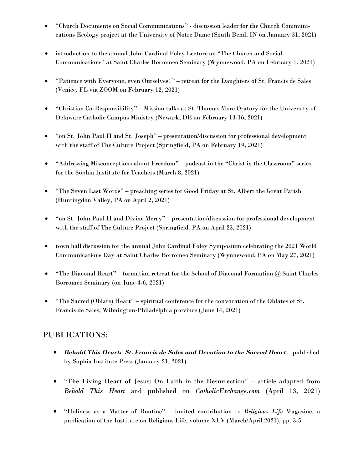- "Church Documents on Social Communications" discussion leader for the Church Communications Ecology project at the University of Notre Dame (South Bend, IN on January 31, 2021)
- introduction to the annual John Cardinal Foley Lecture on "The Church and Social Communications" at Saint Charles Borromeo Seminary (Wynnewood, PA on February 1, 2021)
- "Patience with Everyone, even Ourselves! " retreat for the Daughters of St. Francis de Sales (Venice, FL via ZOOM on February 12, 2021)
- "Christian Co-Responsibility" Mission talks at St. Thomas More Oratory for the University of Delaware Catholic Campus Ministry (Newark, DE on February 13-16, 2021)
- "on St. John Paul II and St. Joseph" presentation/discussion for professional development with the staff of The Culture Project (Springfield, PA on February 19, 2021)
- "Addressing Misconceptions about Freedom" podcast in the "Christ in the Classroom" series for the Sophia Institute for Teachers (March 8, 2021)
- "The Seven Last Words" preaching series for Good Friday at St. Albert the Great Parish (Huntingdon Valley, PA on April 2, 2021)
- "on St. John Paul II and Divine Mercy" presentation/discussion for professional development with the staff of The Culture Project (Springfield, PA on April 23, 2021)
- town hall discussion for the annual John Cardinal Foley Symposium celebrating the 2021 World Communications Day at Saint Charles Borromeo Seminary (Wynnewood, PA on May 27, 2021)
- "The Diaconal Heart" formation retreat for the School of Diaconal Formation @ Saint Charles Borromeo Seminary (on June 4-6, 2021)
- "The Sacred (Oblate) Heart" spiritual conference for the convocation of the Oblates of St. Francis de Sales, Wilmington-Philadelphia province (June 14, 2021)

## PUBLICATIONS:

- *Behold This Heart: St. Francis de Sales and Devotion to the Sacred Heart* published by Sophia Institute Press (January 21, 2021)
- "The Living Heart of Jesus: On Faith in the Resurrection" article adapted from *Behold This Heart* and published on *CatholicExchange.com* (April 13, 2021)
- "Holiness as a Matter of Routine" invited contribution to *Religious Life* Magazine, a publication of the Institute on Religious Life, volume XLV (March/April 2021), pp. 3-5.